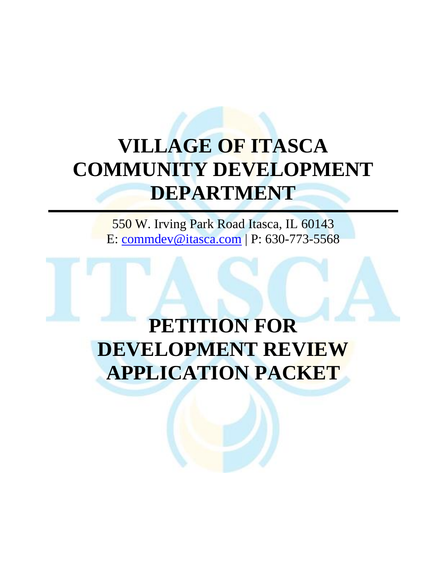# **VILLAGE OF ITASCA COMMUNITY DEVELOPMENT DEPARTMENT**

550 W. Irving Park Road Itasca, IL 60143 E: [commdev@itasca.com](mailto:commdev@itasca.com) | P: 630-773-5568

# **PETITION FOR DEVELOPMENT REVIEW APPLICATION PACKET**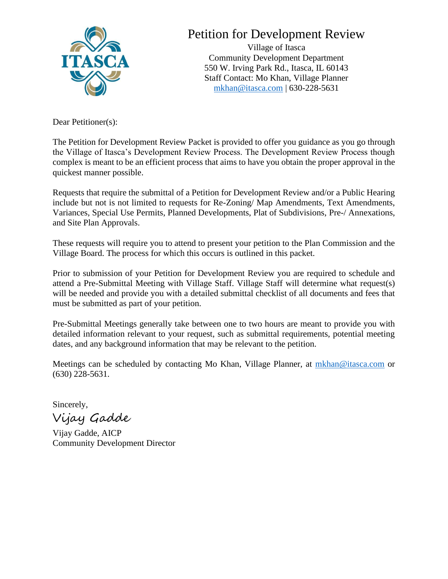

# Petition for Development Review

Village of Itasca Community Development Department 550 W. Irving Park Rd., Itasca, IL 60143 Staff Contact: Mo Khan, Village Planner [mkhan@itasca.com](mailto:mkhan@itasca.com) | 630-228-5631

Dear Petitioner(s):

The Petition for Development Review Packet is provided to offer you guidance as you go through the Village of Itasca's Development Review Process. The Development Review Process though complex is meant to be an efficient process that aims to have you obtain the proper approval in the quickest manner possible.

Requests that require the submittal of a Petition for Development Review and/or a Public Hearing include but not is not limited to requests for Re-Zoning/ Map Amendments, Text Amendments, Variances, Special Use Permits, Planned Developments, Plat of Subdivisions, Pre-/ Annexations, and Site Plan Approvals.

These requests will require you to attend to present your petition to the Plan Commission and the Village Board. The process for which this occurs is outlined in this packet.

Prior to submission of your Petition for Development Review you are required to schedule and attend a Pre-Submittal Meeting with Village Staff. Village Staff will determine what request(s) will be needed and provide you with a detailed submittal checklist of all documents and fees that must be submitted as part of your petition.

Pre-Submittal Meetings generally take between one to two hours are meant to provide you with detailed information relevant to your request, such as submittal requirements, potential meeting dates, and any background information that may be relevant to the petition.

Meetings can be scheduled by contacting Mo Khan, Village Planner, at [mkhan@itasca.com](mailto:mkhan@itasca.com) or (630) 228-5631.

Sincerely,

Vijay Gadde

Vijay Gadde, AICP Community Development Director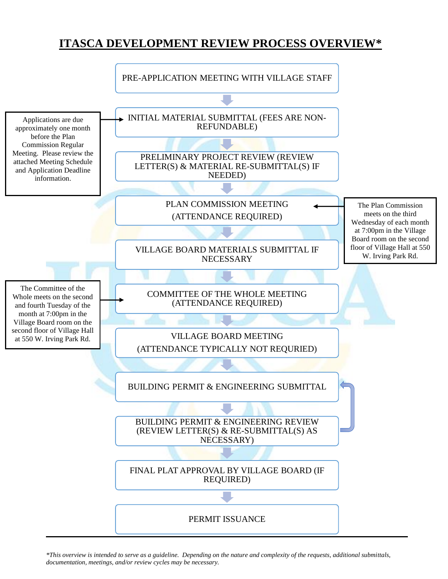## **ITASCA DEVELOPMENT REVIEW PROCESS OVERVIEW\***



*\*This overview is intended to serve as a guideline. Depending on the nature and complexity of the requests, additional submittals, documentation, meetings, and/or review cycles may be necessary.*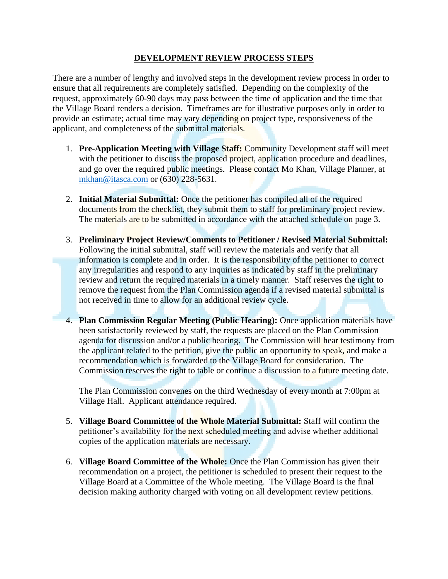#### **DEVELOPMENT REVIEW PROCESS STEPS**

There are a number of lengthy and involved steps in the development review process in order to ensure that all requirements are completely satisfied. Depending on the complexity of the request, approximately 60-90 days may pass between the time of application and the time that the Village Board renders a decision. Timeframes are for illustrative purposes only in order to provide an estimate; actual time may vary depending on project type, responsiveness of the applicant, and completeness of the submittal materials.

- 1. **Pre-Application Meeting with Village Staff:** Community Development staff will meet with the petitioner to discuss the proposed project, application procedure and deadlines, and go over the required public meetings. Please contact Mo Khan, Village Planner, at [mkhan@itasca.com](mailto:mkhan@itasca.com) or (630) 228-5631.
- 2. **Initial Material Submittal:** Once the petitioner has compiled all of the required documents from the checklist, they submit them to staff for preliminary project review. The materials are to be submitted in accordance with the attached schedule on page 3.
- 3. **Preliminary Project Review/Comments to Petitioner / Revised Material Submittal:** Following the initial submittal, staff will review the materials and verify that all information is complete and in order. It is the responsibility of the petitioner to correct any irregularities and respond to any inquiries as indicated by staff in the preliminary review and return the required materials in a timely manner. Staff reserves the right to remove the request from the Plan Commission agenda if a revised material submittal is not received in time to allow for an additional review cycle.
- 4. **Plan Commission Regular Meeting (Public Hearing):** Once application materials have been satisfactorily reviewed by staff, the requests are placed on the Plan Commission agenda for discussion and/or a public hearing. The Commission will hear testimony from the applicant related to the petition, give the public an opportunity to speak, and make a recommendation which is forwarded to the Village Board for consideration. The Commission reserves the right to table or continue a discussion to a future meeting date.

The Plan Commission convenes on the third Wednesday of every month at 7:00pm at Village Hall. Applicant attendance required.

- 5. **Village Board Committee of the Whole Material Submittal:** Staff will confirm the petitioner's availability for the next scheduled meeting and advise whether additional copies of the application materials are necessary.
- 6. **Village Board Committee of the Whole:** Once the Plan Commission has given their recommendation on a project, the petitioner is scheduled to present their request to the Village Board at a Committee of the Whole meeting. The Village Board is the final decision making authority charged with voting on all development review petitions.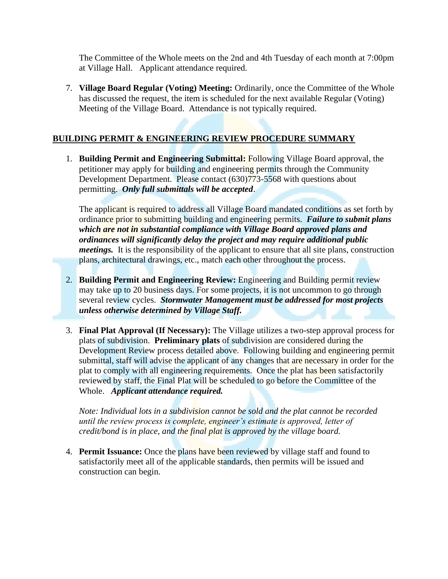The Committee of the Whole meets on the 2nd and 4th Tuesday of each month at 7:00pm at Village Hall. Applicant attendance required.

7. **Village Board Regular (Voting) Meeting:** Ordinarily, once the Committee of the Whole has discussed the request, the item is scheduled for the next available Regular (Voting) Meeting of the Village Board. Attendance is not typically required.

#### **BUILDING PERMIT & ENGINEERING REVIEW PROCEDURE SUMMARY**

1. **Building Permit and Engineering Submittal:** Following Village Board approval, the petitioner may apply for building and engineering permits through the Community Development Department. Please contact (630)<sup>773</sup>-5568 with questions about permitting. *Only full submittals will be accepted*.

The applicant is required to address all Village Board mandated conditions as set forth by ordinance prior to submitting building and engineering permits. *Failure to submit plans which are not in substantial compliance with Village Board approved plans and ordinances will significantly delay the project and may require additional public meetings.* It is the responsibility of the applicant to ensure that all site plans, construction plans, architectural drawings, etc., match each other throughout the process.

- 2. **Building Permit and Engineering Review:** Engineering and Building permit review may take up to 20 business days. For some projects, it is not uncommon to go through several review cycles. *Stormwater Management must be addressed for most projects unless otherwise determined by Village Staff.*
- 3. **Final Plat Approval (If Necessary):** The Village utilizes a two-step approval process for plats of subdivision. **Preliminary plats** of subdivision are considered during the Development Review process detailed above. Following building and engineering permit submittal, staff will advise the applicant of any changes that are necessary in order for the plat to comply with all engineering requirements. Once the plat has been satisfactorily reviewed by staff, the Final Plat will be scheduled to go before the Committee of the Whole. *Applicant attendance required.*

*Note: Individual lots in a subdivision cannot be sold and the plat cannot be recorded until the review process is complete, engineer's estimate is approved, letter of credit/bond is in place, and the final plat is approved by the village board.* 

4. **Permit Issuance:** Once the plans have been reviewed by village staff and found to satisfactorily meet all of the applicable standards, then permits will be issued and construction can begin.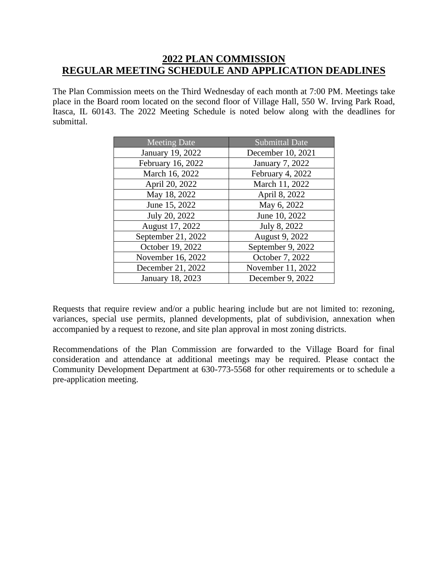### **2022 PLAN COMMISSION REGULAR MEETING SCHEDULE AND APPLICATION DEADLINES**

The Plan Commission meets on the Third Wednesday of each month at 7:00 PM. Meetings take place in the Board room located on the second floor of Village Hall, 550 W. Irving Park Road, Itasca, IL 60143. The 2022 Meeting Schedule is noted below along with the deadlines for submittal.

| Meeting Date       | <b>Submittal Date</b> |
|--------------------|-----------------------|
| January 19, 2022   | December 10, 2021     |
| February 16, 2022  | January 7, 2022       |
| March 16, 2022     | February 4, 2022      |
| April 20, 2022     | March 11, 2022        |
| May 18, 2022       | April 8, 2022         |
| June 15, 2022      | May 6, 2022           |
| July 20, 2022      | June 10, 2022         |
| August 17, 2022    | July 8, 2022          |
| September 21, 2022 | August 9, 2022        |
| October 19, 2022   | September 9, 2022     |
| November 16, 2022  | October 7, 2022       |
| December 21, 2022  | November 11, 2022     |
| January 18, 2023   | December 9, 2022      |

Requests that require review and/or a public hearing include but are not limited to: rezoning, variances, special use permits, planned developments, plat of subdivision, annexation when accompanied by a request to rezone, and site plan approval in most zoning districts.

Recommendations of the Plan Commission are forwarded to the Village Board for final consideration and attendance at additional meetings may be required. Please contact the Community Development Department at 630-773-5568 for other requirements or to schedule a pre-application meeting.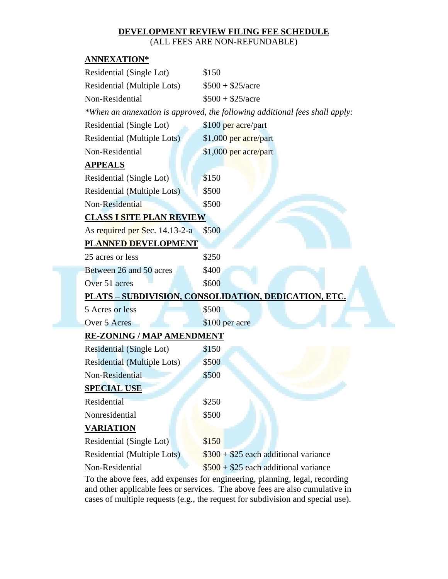### **DEVELOPMENT REVIEW FILING FEE SCHEDULE**

(ALL FEES ARE NON-REFUNDABLE)

#### **ANNEXATION\***

| Residential (Single Lot)                                                    | \$150                                                        |  |  |  |  |
|-----------------------------------------------------------------------------|--------------------------------------------------------------|--|--|--|--|
| Residential (Multiple Lots)                                                 | $$500 + $25/acre$                                            |  |  |  |  |
| Non-Residential                                                             | $$500 + $25/ \text{acre}$                                    |  |  |  |  |
| *When an annexation is approved, the following additional fees shall apply: |                                                              |  |  |  |  |
| Residential (Single Lot)                                                    | \$100 per acre/part                                          |  |  |  |  |
| Residential (Multiple Lots)                                                 | \$1,000 per acre/part                                        |  |  |  |  |
| Non-Residential                                                             | \$1,000 per acre/part                                        |  |  |  |  |
| <u>APPEALS</u>                                                              |                                                              |  |  |  |  |
| Residential (Single Lot)                                                    | \$150                                                        |  |  |  |  |
| Residential (Multiple Lots)                                                 | \$500                                                        |  |  |  |  |
| Non-Residential                                                             | \$500                                                        |  |  |  |  |
| <b>CLASS I SITE PLAN REVIEW</b>                                             |                                                              |  |  |  |  |
| As required per Sec. 14.13-2-a                                              | \$500                                                        |  |  |  |  |
| PLANNED DEVELOPMENT                                                         |                                                              |  |  |  |  |
| 25 acres or less                                                            | \$250                                                        |  |  |  |  |
| Between 26 and 50 acres                                                     | \$400                                                        |  |  |  |  |
| Over 51 acres                                                               | \$600                                                        |  |  |  |  |
|                                                                             | <u> PLATS – SUBDIVISION, CONSOLIDATION, DEDICATION, ETC.</u> |  |  |  |  |
| 5 Acres or less                                                             | \$500                                                        |  |  |  |  |
| Over 5 Acres                                                                | \$100 per acre                                               |  |  |  |  |
| <b>RE-ZONING / MAP AMENDMENT</b>                                            |                                                              |  |  |  |  |
| Residential (Single Lot)                                                    | \$150                                                        |  |  |  |  |
| <b>Residential (Multiple Lots)</b>                                          | \$500                                                        |  |  |  |  |
| Non-Residential                                                             | \$500                                                        |  |  |  |  |
| <b>SPECIAL USE</b>                                                          |                                                              |  |  |  |  |
| Residential                                                                 | \$250                                                        |  |  |  |  |
| Nonresidential                                                              | \$500                                                        |  |  |  |  |
| <b>VARIATION</b>                                                            |                                                              |  |  |  |  |
| Residential (Single Lot)                                                    | \$150                                                        |  |  |  |  |
| Residential (Multiple Lots)                                                 | $\$300 + \$25$ each additional variance                      |  |  |  |  |
| Non-Residential                                                             | $$500 + $25$ each additional variance                        |  |  |  |  |
| a ahaya faaq add                                                            |                                                              |  |  |  |  |

To the above fees, add expenses for engineering, planning, legal, recording and other applicable fees or services. The above fees are also cumulative in cases of multiple requests (e.g., the request for subdivision and special use).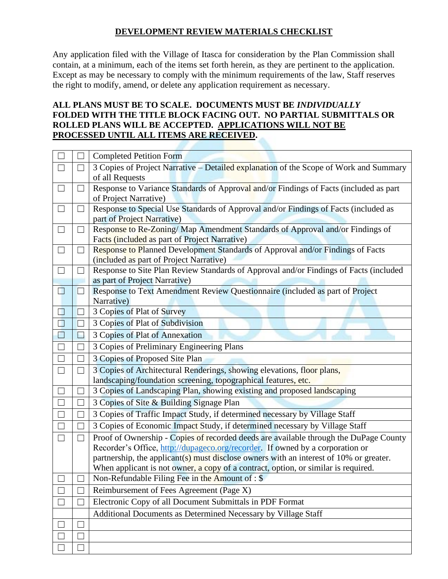#### **DEVELOPMENT REVIEW MATERIALS CHECKLIST**

Any application filed with the Village of Itasca for consideration by the Plan Commission shall contain, at a minimum, each of the items set forth herein, as they are pertinent to the application. Except as may be necessary to comply with the minimum requirements of the law, Staff reserves the right to modify, amend, or delete any application requirement as necessary.

#### **ALL PLANS MUST BE TO SCALE. DOCUMENTS MUST BE** *INDIVIDUALLY*  **FOLDED WITH THE TITLE BLOCK FACING OUT. NO PARTIAL SUBMITTALS OR ROLLED PLANS WILL BE ACCEPTED. APPLICATIONS WILL NOT BE PROCESSED UNTIL ALL ITEMS ARE RECEIVED.**

|        |                   | <b>Completed Petition Form</b>                                                                                         |  |  |
|--------|-------------------|------------------------------------------------------------------------------------------------------------------------|--|--|
|        |                   | 3 Copies of Project Narrative – Detailed explanation of the Scope of Work and Summary                                  |  |  |
|        |                   | of all Requests                                                                                                        |  |  |
| $\Box$ | ┓                 | Response to Variance Standards of Approval and/or Findings of Facts (included as part                                  |  |  |
|        |                   | of Project Narrative)                                                                                                  |  |  |
| $\Box$ | ⊔                 | Response to Special Use Standards of Approval and/or Findings of Facts (included as                                    |  |  |
|        |                   | part of Project Narrative)                                                                                             |  |  |
| ⊔      | $\vert \ \ \vert$ | Response to Re-Zoning/Map Amendment Standards of Approval and/or Findings of                                           |  |  |
|        |                   | Facts (included as part of Project Narrative)                                                                          |  |  |
| ⊔      |                   | Response to Planned Development Standards of Approval and/or Findings of Facts                                         |  |  |
| $\Box$ | ⊔                 | (included as part of Project Narrative)                                                                                |  |  |
|        |                   | Response to Site Plan Review Standards of Approval and/or Findings of Facts (included<br>as part of Project Narrative) |  |  |
| H      |                   | Response to Text Amendment Review Questionnaire (included as part of Project                                           |  |  |
|        |                   | Narrative)                                                                                                             |  |  |
|        |                   | 3 Copies of Plat of Survey                                                                                             |  |  |
|        | $\Box$            | 3 Copies of Plat of Subdivision                                                                                        |  |  |
|        |                   | 3 Copies of Plat of Annexation                                                                                         |  |  |
|        |                   | 3 Copies of Preliminary Engineering Plans                                                                              |  |  |
|        | П                 | 3 Copies of Proposed Site Plan                                                                                         |  |  |
| $\Box$ | $\Box$            | 3 Copies of Architectural Renderings, showing elevations, floor plans,                                                 |  |  |
|        |                   | landscaping/foundation screening, topographical features, etc.                                                         |  |  |
|        |                   | 3 Copies of Landscaping Plan, showing existing and proposed landscaping                                                |  |  |
|        | $\Box$            | 3 Copies of Site & Building Signage Plan                                                                               |  |  |
|        |                   | 3 Copies of Traffic Impact Study, if determined necessary by Village Staff                                             |  |  |
|        |                   | 3 Copies of Economic Impact Study, if determined necessary by Village Staff                                            |  |  |
| $\Box$ | $\Box$            | Proof of Ownership - Copies of recorded deeds are available through the DuPage County                                  |  |  |
|        |                   | Recorder's Office, http://dupageco.org/recorder. If owned by a corporation or                                          |  |  |
|        |                   | partnership, the applicant(s) must disclose owners with an interest of $10\%$ or greater.                              |  |  |
|        |                   | When applicant is not owner, a copy of a contract, option, or similar is required.                                     |  |  |
|        |                   | Non-Refundable Filing Fee in the Amount of : \$                                                                        |  |  |
|        |                   | Reimbursement of Fees Agreement (Page X)                                                                               |  |  |
|        |                   | Electronic Copy of all Document Submittals in PDF Format                                                               |  |  |
|        |                   | Additional Documents as Determined Necessary by Village Staff                                                          |  |  |
|        |                   |                                                                                                                        |  |  |
|        |                   |                                                                                                                        |  |  |
|        |                   |                                                                                                                        |  |  |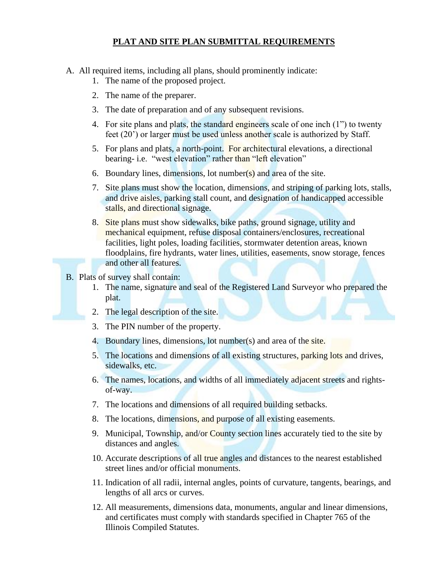#### **PLAT AND SITE PLAN SUBMITTAL REQUIREMENTS**

- A. All required items, including all plans, should prominently indicate:
	- 1. The name of the proposed project.
	- 2. The name of the preparer.
	- 3. The date of preparation and of any subsequent revisions.
	- 4. For site plans and plats, the standard engineers scale of one inch  $(1")$  to twenty feet (20') or larger must be used unless another scale is authorized by Staff.
	- 5. For plans and plats, a north-point. For architectural elevations, a directional bearing- i.e. "west elevation" rather than "left elevation"
	- 6. Boundary lines, dimensions, lot number(s) and area of the site.
	- 7. Site plans must show the location, dimensions, and striping of parking lots, stalls, and drive aisles, parking stall count, and designation of handicapped accessible stalls, and directional signage.
	- 8. Site plans must show sidewalks, bike paths, ground signage, utility and mechanical equipment, refuse disposal containers/enclosures, recreational facilities, light poles, loading facilities, stormwater detention areas, known floodplains, fire hydrants, water lines, utilities, easements, snow storage, fences and other all features.
- B. Plats of survey shall contain:
	- 1. The name, signature and seal of the Registered Land Surveyor who prepared the plat.
	- 2. The legal description of the site.
	- 3. The PIN number of the property.
	- 4. Boundary lines, dimensions, lot number(s) and area of the site.
	- 5. The locations and dimensions of all existing structures, parking lots and drives, sidewalks, etc.
	- 6. The names, locations, and widths of all immediately adjacent streets and rightsof-way.
	- 7. The locations and dimensions of all required building setbacks.
	- 8. The locations, dimensions, and purpose of all existing easements.
	- 9. Municipal, Township, and/or County section lines accurately tied to the site by distances and angles.
	- 10. Accurate descriptions of all true angles and distances to the nearest established street lines and/or official monuments.
	- 11. Indication of all radii, internal angles, points of curvature, tangents, bearings, and lengths of all arcs or curves.
	- 12. All measurements, dimensions data, monuments, angular and linear dimensions, and certificates must comply with standards specified in Chapter 765 of the Illinois Compiled Statutes.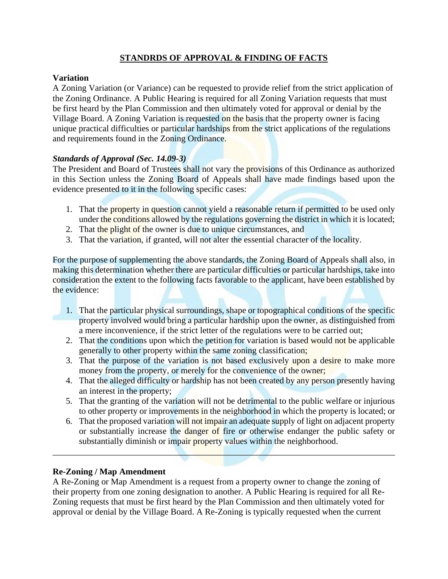#### **STANDRDS OF APPROVAL & FINDING OF FACTS**

#### **Variation**

A Zoning Variation (or Variance) can be requested to provide relief from the strict application of the Zoning Ordinance. A Public Hearing is required for all Zoning Variation requests that must be first heard by the Plan Commission and then ultimately voted for approval or denial by the Village Board. A Zoning Variation is requested on the basis that the property owner is facing unique practical difficulties or particular hardships from the strict applications of the regulations and requirements found in the Zoning Ordinance.

#### *Standards of Approval (Sec. 14.09-3)*

The President and Board of Trustees shall not vary the provisions of this Ordinance as authorized in this Section unless the Zoning Board of Appeals shall have made findings based upon the evidence presented to it in the following specific cases:

- 1. That the property in question cannot yield a reasonable return if permitted to be used only under the conditions allowed by the regulations governing the district in which it is located;
- 2. That the plight of the owner is due to unique circumstances, and
- 3. That the variation, if granted, will not alter the essential character of the locality.

For the purpose of supplementing the above standards, the Zoning Board of Appeals shall also, in making this determination whether there are particular difficulties or particular hardships, take into consideration the extent to the following facts favorable to the applicant, have been established by the evidence:

- 1. That the particular physical surroundings, shape or topographical conditions of the specific property involved would bring a particular hardship upon the owner, as distinguished from a mere inconvenience, if the strict letter of the regulations were to be carried out;
- 2. That the conditions upon which the petition for variation is based would not be applicable generally to other property within the same zoning classification;
- 3. That the purpose of the variation is not based exclusively upon a desire to make more money from the property, or merely for the convenience of the owner;
- 4. That the alleged difficulty or hardship has not been created by any person presently having an interest in the property;
- 5. That the granting of the variation will not be detrimental to the public welfare or injurious to other property or improvements in the neighborhood in which the property is located; or
- 6. That the proposed variation will not impair an adequate supply of light on adjacent property or substantially increase the danger of fire or otherwise endanger the public safety or substantially diminish or impair property values within the neighborhood.

 $\mathcal{L}$  , and the contract of  $\mathcal{L}$  , and the contract of  $\mathcal{L}$  , and the contract of  $\mathcal{L}$ 

#### **Re-Zoning / Map Amendment**

A Re-Zoning or Map Amendment is a request from a property owner to change the zoning of their property from one zoning designation to another. A Public Hearing is required for all Re-Zoning requests that must be first heard by the Plan Commission and then ultimately voted for approval or denial by the Village Board. A Re-Zoning is typically requested when the current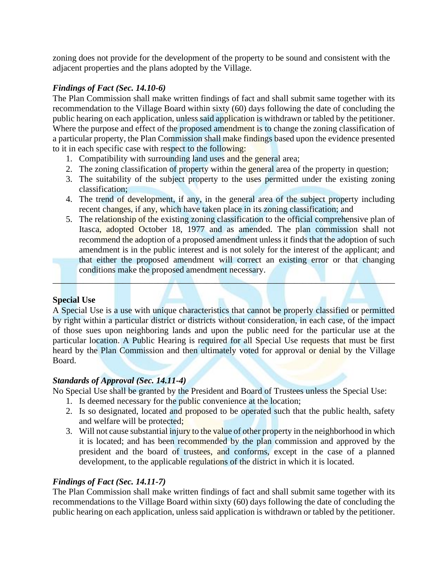zoning does not provide for the development of the property to be sound and consistent with the adjacent properties and the plans adopted by the Village.

#### *Findings of Fact (Sec. 14.10-6)*

The Plan Commission shall make written findings of fact and shall submit same together with its recommendation to the Village Board within sixty (60) days following the date of concluding the public hearing on each application, unless said application is withdrawn or tabled by the petitioner. Where the purpose and effect of the proposed amendment is to change the zoning classification of a particular property, the Plan Commission shall make findings based upon the evidence presented to it in each specific case with respect to the following:

- 1. Compatibility with surrounding land uses and the general area;
- 2. The zoning classification of property within the general area of the property in question;
- 3. The suitability of the subject property to the uses permitted under the existing zoning classification;
- 4. The trend of development, if any, in the general area of the subject property including recent changes, if any, which have taken place in its zoning classification; and
- 5. The relationship of the existing zoning classification to the official comprehensive plan of Itasca, adopted October 18, 1977 and as amended. The plan commission shall not recommend the adoption of a proposed amendment unless it finds that the adoption of such amendment is in the public interest and is not solely for the interest of the applicant; and that either the proposed amendment will correct an existing error or that changing conditions make the proposed amendment necessary.

#### **Special Use**

A Special Use is a use with unique characteristics that cannot be properly classified or permitted by right within a particular district or districts without consideration, in each case, of the impact of those sues upon neighboring lands and upon the public need for the particular use at the particular location. A Public Hearing is required for all Special Use requests that must be first heard by the Plan Commission and then ultimately voted for approval or denial by the Village Board.

\_\_\_\_\_\_\_\_\_\_\_\_\_\_\_\_\_\_\_\_\_\_\_\_\_\_\_\_\_\_\_\_\_\_\_\_\_\_\_\_\_\_\_\_\_\_\_\_\_\_\_\_\_\_\_\_\_\_\_\_\_\_\_\_\_\_\_\_\_\_\_\_\_\_\_\_\_\_

#### *Standards of Approval (Sec. 14.11-4)*

No Special Use shall be granted by the President and Board of Trustees unless the Special Use:

- 1. Is deemed necessary for the public convenience at the location;
- 2. Is so designated, located and proposed to be operated such that the public health, safety and welfare will be protected;
- 3. Will not cause substantial injury to the value of other property in the neighborhood in which it is located; and has been recommended by the plan commission and approved by the president and the board of trustees, and conforms, except in the case of a planned development, to the applicable regulations of the district in which it is located.

#### *Findings of Fact (Sec. 14.11-7)*

The Plan Commission shall make written findings of fact and shall submit same together with its recommendations to the Village Board within sixty (60) days following the date of concluding the public hearing on each application, unless said application is withdrawn or tabled by the petitioner.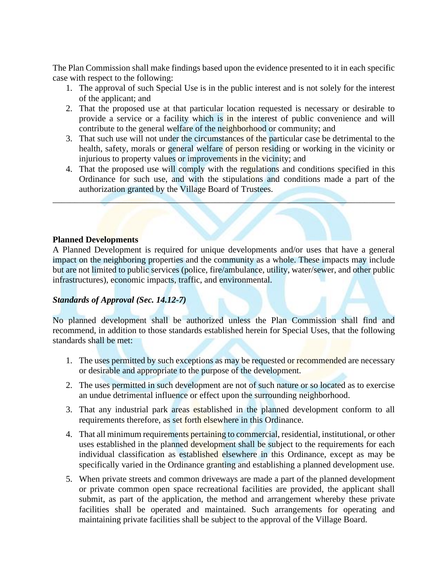The Plan Commission shall make findings based upon the evidence presented to it in each specific case with respect to the following:

- 1. The approval of such Special Use is in the public interest and is not solely for the interest of the applicant; and
- 2. That the proposed use at that particular location requested is necessary or desirable to provide a service or a facility which is in the interest of public convenience and will contribute to the general welfare of the neighborhood or community; and
- 3. That such use will not under the circumstances of the particular case be detrimental to the health, safety, morals or general welfare of person residing or working in the vicinity or injurious to property values or improvements in the vicinity; and
- 4. That the proposed use will comply with the regulations and conditions specified in this Ordinance for such use, and with the stipulations and conditions made a part of the authorization granted by the Village Board of Trustees.

 $\mathcal{L}$  , and the set of the set of the set of the set of the set of the set of the set of the set of the set of the set of the set of the set of the set of the set of the set of the set of the set of the set of the set

#### **Planned Developments**

A Planned Development is required for unique developments and/or uses that have a general impact on the neighboring properties and the community as a whole. These impacts may include but are not limited to public services (police, fire/ambulance, utility, water/sewer, and other public infrastructures), economic impacts, traffic, and environmental.

#### *Standards of Approval (Sec. 14.12-7)*

No planned development shall be authorized unless the Plan Commission shall find and recommend, in addition to those standards established herein for Special Uses, that the following standards shall be met:

- 1. The uses permitted by such exceptions as may be requested or recommended are necessary or desirable and appropriate to the purpose of the development.
- 2. The uses permitted in such development are not of such nature or so located as to exercise an undue detrimental influence or effect upon the surrounding neighborhood.
- 3. That any industrial park areas established in the planned development conform to all requirements therefore, as set forth elsewhere in this Ordinance.
- 4. That all minimum requirements pertaining to commercial, residential, institutional, or other uses established in the planned development shall be subject to the requirements for each individual classification as established elsewhere in this Ordinance, except as may be specifically varied in the Ordinance granting and establishing a planned development use.
- 5. When private streets and common driveways are made a part of the planned development or private common open space recreational facilities are provided, the applicant shall submit, as part of the application, the method and arrangement whereby these private facilities shall be operated and maintained. Such arrangements for operating and maintaining private facilities shall be subject to the approval of the Village Board.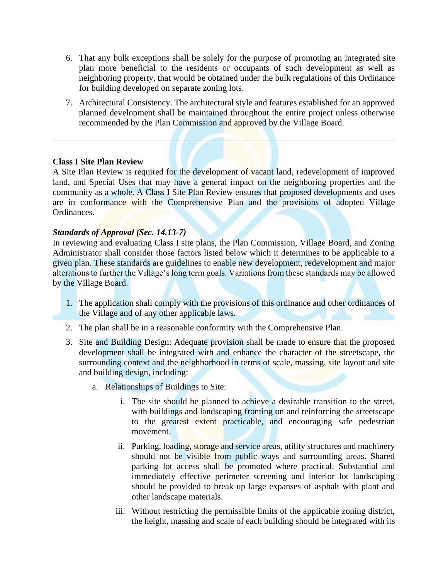- 6. That any bulk exceptions shall be solely for the purpose of promoting an integrated site plan more beneficial to the residents or occupants of such development as well as neighboring property, that would be obtained under the bulk regulations of this Ordinance for building developed on separate zoning lots.
- 7. Architectural Consistency. The architectural style and features established for an approved planned development shall be maintained throughout the entire project unless otherwise recommended by the Plan Commission and approved by the Village Board.

#### **Class I Site Plan Review**

A Site Plan Review is required for the development of vacant land, redevelopment of improved land, and Special Uses that may have a general impact on the neighboring properties and the community as a whole. A Class I Site Plan Review ensures that proposed developments and uses are in conformance with the Comprehensive Plan and the provisions of adopted Village Ordinances.

 $\mathcal{L} = \{ \mathcal{L} \mid \mathcal{L} \text{ is a positive number of times } \mathcal{L} \}$ 

#### *Standards of Approval (Sec. 14.13-7)*

In reviewing and evaluating Class I site plans, the Plan Commission, Village Board, and Zoning Administrator shall consider those factors listed below which it determines to be applicable to a given plan. These standards are guidelines to enable new development, redevelopment and major alterations to further the Village's long term goals. Variations from these standards may be allowed by the Village Board.

- 1. The application shall comply with the provisions of this ordinance and other ordinances of the Village and of any other applicable laws.
- 2. The plan shall be in a reasonable conformity with the Comprehensive Plan.
- 3. Site and Building Design: Adequate provision shall be made to ensure that the proposed development shall be integrated with and enhance the character of the streetscape, the surrounding context and the neighborhood in terms of scale, massing, site layout and site and building design, including:
	- a. Relationships of Buildings to Site:
		- i. The site should be planned to achieve a desirable transition to the street, with buildings and landscaping fronting on and reinforcing the streetscape to the greatest extent practicable, and encouraging safe pedestrian movement.
		- ii. Parking, loading, storage and service areas, utility structures and machinery should not be visible from public ways and surrounding areas. Shared parking lot access shall be promoted where practical. Substantial and immediately effective perimeter screening and interior lot landscaping should be provided to break up large expanses of asphalt with plant and other landscape materials.
		- iii. Without restricting the permissible limits of the applicable zoning district, the height, massing and scale of each building should be integrated with its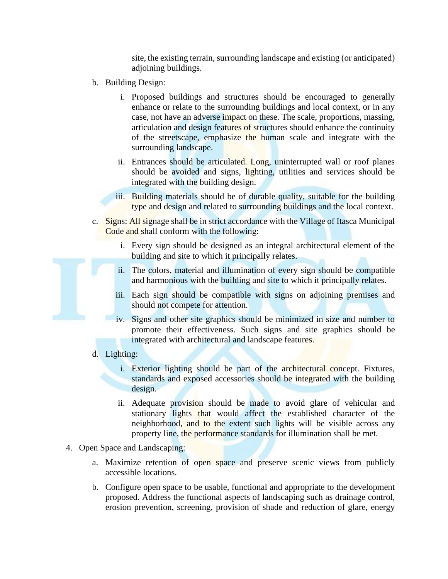site, the existing terrain, surrounding landscape and existing (or anticipated) adjoining buildings.

- b. Building Design:
	- i. Proposed buildings and structures should be encouraged to generally enhance or relate to the surrounding buildings and local context, or in any case, not have an adverse impact on these. The scale, proportions, massing, articulation and design features of structures should enhance the continuity of the streetscape, emphasize the human scale and integrate with the surrounding landscape.
	- ii. Entrances should be articulated. Long, uninterrupted wall or roof planes should be avoided and signs, lighting, utilities and services should be integrated with the building design.
	- iii. Building materials should be of durable quality, suitable for the building type and design and related to surrounding buildings and the local context.
- c. Signs: All signage shall be in strict accordance with the Village of Itasca Municipal Code and shall conform with the following:
	- i. Every sign should be designed as an integral architectural element of the building and site to which it principally relates.
	- ii. The colors, material and illumination of every sign should be compatible and harmonious with the building and site to which it principally relates.
	- iii. Each sign should be compatible with signs on adjoining premises and should not compete for attention.
	- iv. Signs and other site graphics should be minimized in size and number to promote their effectiveness. Such signs and site graphics should be integrated with architectural and landscape features.
- d. Lighting:
	- i. Exterior lighting should be part of the architectural concept. Fixtures, standards and exposed accessories should be integrated with the building design.
	- ii. Adequate provision should be made to avoid glare of vehicular and stationary lights that would affect the established character of the neighborhood, and to the extent such lights will be visible across any property line, the performance standards for illumination shall be met.
- 4. Open Space and Landscaping:
	- a. Maximize retention of open space and preserve scenic views from publicly accessible locations.
	- b. Configure open space to be usable, functional and appropriate to the development proposed. Address the functional aspects of landscaping such as drainage control, erosion prevention, screening, provision of shade and reduction of glare, energy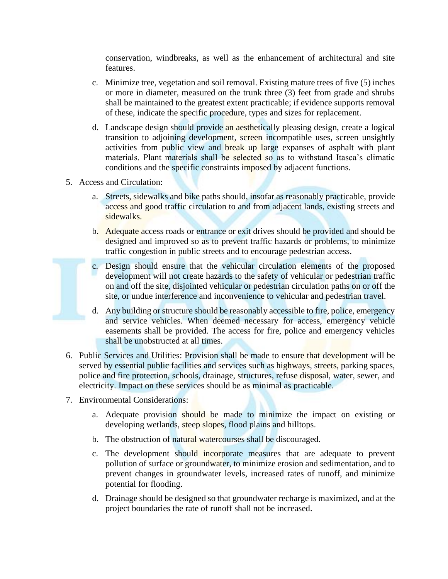conservation, windbreaks, as well as the enhancement of architectural and site features.

- c. Minimize tree, vegetation and soil removal. Existing mature trees of five (5) inches or more in diameter, measured on the trunk three (3) feet from grade and shrubs shall be maintained to the greatest extent practicable; if evidence supports removal of these, indicate the specific procedure, types and sizes for replacement.
- d. Landscape design should provide an aesthetically pleasing design, create a logical transition to adjoining development, screen incompatible uses, screen unsightly activities from public view and break up large expanses of asphalt with plant materials. Plant materials shall be selected so as to withstand Itasca's climatic conditions and the specific constraints imposed by adjacent functions.
- 5. Access and Circulation:
	- a. Streets, sidewalks and bike paths should, insofar as reasonably practicable, provide access and good traffic circulation to and from adjacent lands, existing streets and sidewalks.
	- b. Adequate access roads or entrance or exit drives should be provided and should be designed and improved so as to prevent traffic hazards or problems, to minimize traffic congestion in public streets and to encourage pedestrian access.
	- c. Design should ensure that the vehicular circulation elements of the proposed development will not create hazards to the safety of vehicular or pedestrian traffic on and off the site, disjointed vehicular or pedestrian circulation paths on or off the site, or undue interference and inconvenience to vehicular and pedestrian travel.
	- d. Any building or structure should be reasonably accessible to fire, police, emergency and service vehicles. When deemed necessary for access, emergency vehicle easements shall be provided. The access for fire, police and emergency vehicles shall be unobstructed at all times.
- 6. Public Services and Utilities: Provision shall be made to ensure that development will be served by essential public facilities and services such as highways, streets, parking spaces, police and fire protection, schools, drainage, structures, refuse disposal, water, sewer, and electricity. Impact on these services should be as minimal as practicable.
- 7. Environmental Considerations:
	- a. Adequate provision should be made to minimize the impact on existing or developing wetlands, steep slopes, flood plains and hilltops.
	- b. The obstruction of natural watercourses shall be discouraged.
	- c. The development should incorporate measures that are adequate to prevent pollution of surface or groundwater, to minimize erosion and sedimentation, and to prevent changes in groundwater levels, increased rates of runoff, and minimize potential for flooding.
	- d. Drainage should be designed so that groundwater recharge is maximized, and at the project boundaries the rate of runoff shall not be increased.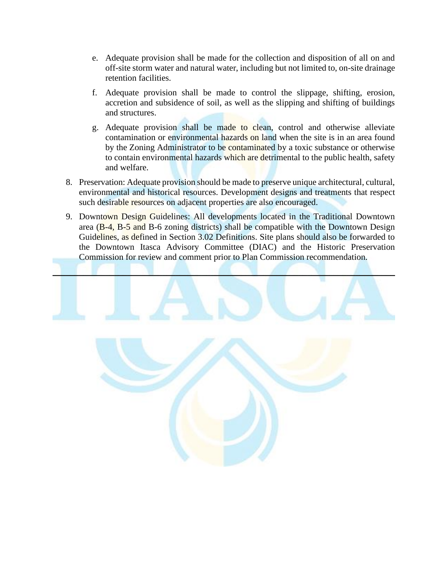- e. Adequate provision shall be made for the collection and disposition of all on and off-site storm water and natural water, including but not limited to, on-site drainage retention facilities.
- f. Adequate provision shall be made to control the slippage, shifting, erosion, accretion and subsidence of soil, as well as the slipping and shifting of buildings and structures.
- g. Adequate provision shall be made to clean, control and otherwise alleviate contamination or environmental hazards on land when the site is in an area found by the Zoning Administrator to be contaminated by a toxic substance or otherwise to contain environmental hazards which are detrimental to the public health, safety and welfare.
- 8. Preservation: Adequate provision should be made to preserve unique architectural, cultural, environmental and historical resources. Development designs and treatments that respect such desirable resources on adjacent properties are also encouraged.
- 9. Downtown Design Guidelines: All developments located in the Traditional Downtown area (B-4, B-5 and B-6 zoning districts) shall be compatible with the Downtown Design Guidelines, as defined in Section 3.02 Definitions. Site plans should also be forwarded to the Downtown Itasca Advisory Committee (DIAC) and the Historic Preservation Commission for review and comment prior to Plan Commission recommendation.

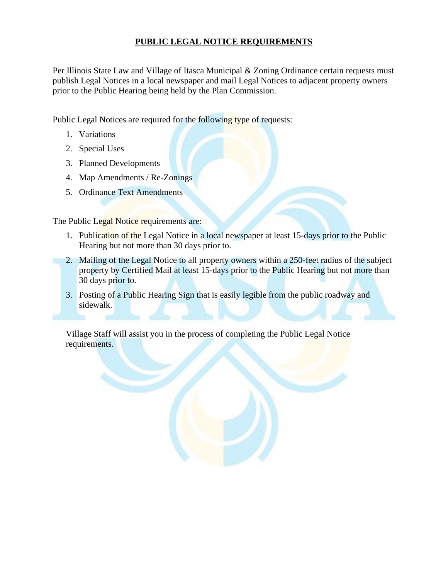#### **PUBLIC LEGAL NOTICE REQUIREMENTS**

Per Illinois State Law and Village of Itasca Municipal & Zoning Ordinance certain requests must publish Legal Notices in a local newspaper and mail Legal Notices to adjacent property owners prior to the Public Hearing being held by the Plan Commission.

Public Legal Notices are required for the following type of requests:

- 1. Variations
- 2. Special Uses
- 3. Planned Developments
- 4. Map Amendments / Re-Zonings
- 5. Ordinance Text Amendments

The Public Legal Notice requirements are:

- 1. Publication of the Legal Notice in a local newspaper at least 15-days prior to the Public Hearing but not more than 30 days prior to.
- 2. Mailing of the Legal Notice to all property owners within a 250-feet radius of the subject property by Certified Mail at least 15-days prior to the Public Hearing but not more than 30 days prior to.
- 3. Posting of a Public Hearing Sign that is easily legible from the public roadway and sidewalk.

Village Staff will assist you in the process of completing the Public Legal Notice requirements.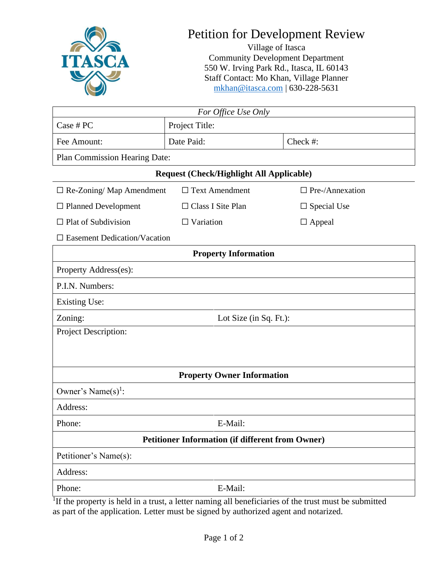

# Petition for Development Review

Village of Itasca Community Development Department 550 W. Irving Park Rd., Itasca, IL 60143 Staff Contact: Mo Khan, Village Planner [mkhan@itasca.com](mailto:mkhan@itasca.com) | 630-228-5631

| For Office Use Only                                     |                                                 |                        |  |  |  |
|---------------------------------------------------------|-------------------------------------------------|------------------------|--|--|--|
| Case # PC                                               | Project Title:                                  |                        |  |  |  |
| Fee Amount:                                             | Date Paid:                                      | Check #:               |  |  |  |
| Plan Commission Hearing Date:                           |                                                 |                        |  |  |  |
|                                                         | <b>Request (Check/Highlight All Applicable)</b> |                        |  |  |  |
| $\Box$ Re-Zoning/ Map Amendment                         | $\Box$ Text Amendment                           | $\Box$ Pre-/Annexation |  |  |  |
| $\Box$ Planned Development                              | $\Box$ Class I Site Plan                        | $\Box$ Special Use     |  |  |  |
| $\Box$ Plat of Subdivision                              | $\Box$ Variation                                | $\Box$ Appeal          |  |  |  |
| $\square$ Easement Dedication/Vacation                  |                                                 |                        |  |  |  |
|                                                         | <b>Property Information</b>                     |                        |  |  |  |
| Property Address(es):                                   |                                                 |                        |  |  |  |
| P.I.N. Numbers:                                         |                                                 |                        |  |  |  |
| <b>Existing Use:</b>                                    |                                                 |                        |  |  |  |
| Zoning:                                                 | Lot Size (in Sq. Ft.):                          |                        |  |  |  |
| Project Description:                                    |                                                 |                        |  |  |  |
|                                                         |                                                 |                        |  |  |  |
|                                                         |                                                 |                        |  |  |  |
| <b>Property Owner Information</b>                       |                                                 |                        |  |  |  |
| Owner's Name $(s)$ <sup>1</sup> :                       |                                                 |                        |  |  |  |
| Address:                                                |                                                 |                        |  |  |  |
| Phone:                                                  | E-Mail:                                         |                        |  |  |  |
| <b>Petitioner Information (if different from Owner)</b> |                                                 |                        |  |  |  |
| Petitioner's Name(s):                                   |                                                 |                        |  |  |  |
| Address:                                                |                                                 |                        |  |  |  |
| Phone:                                                  | E-Mail:                                         |                        |  |  |  |

<sup>1</sup>If the property is held in a trust, a letter naming all beneficiaries of the trust must be submitted as part of the application. Letter must be signed by authorized agent and notarized.